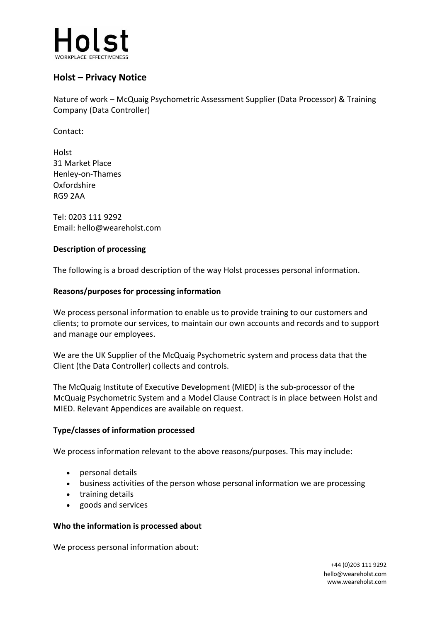

# **Holst – Privacy Notice**

Nature of work – McQuaig Psychometric Assessment Supplier (Data Processor) & Training Company (Data Controller)

Contact:

Holst 31 Market Place Henley-on-Thames Oxfordshire RG9 2AA

Tel: 0203 111 9292 Email: hello@weareholst.com

### **Description of processing**

The following is a broad description of the way Holst processes personal information.

# **Reasons/purposes for processing information**

We process personal information to enable us to provide training to our customers and clients; to promote our services, to maintain our own accounts and records and to support and manage our employees.

We are the UK Supplier of the McQuaig Psychometric system and process data that the Client (the Data Controller) collects and controls.

The McQuaig Institute of Executive Development (MIED) is the sub-processor of the McQuaig Psychometric System and a Model Clause Contract is in place between Holst and MIED. Relevant Appendices are available on request.

### **Type/classes of information processed**

We process information relevant to the above reasons/purposes. This may include:

- personal details
- business activities of the person whose personal information we are processing
- training details
- goods and services

### **Who the information is processed about**

We process personal information about: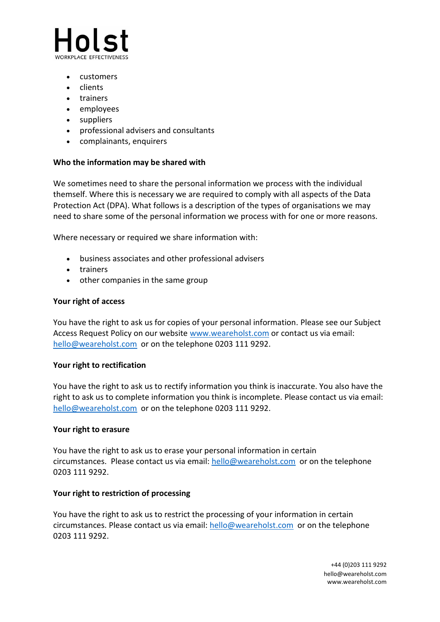

- customers
- clients
- trainers
- employees
- suppliers
- professional advisers and consultants
- complainants, enquirers

### **Who the information may be shared with**

We sometimes need to share the personal information we process with the individual themself. Where this is necessary we are required to comply with all aspects of the Data Protection Act (DPA). What follows is a description of the types of organisations we may need to share some of the personal information we process with for one or more reasons.

Where necessary or required we share information with:

- business associates and other professional advisers
- trainers
- other companies in the same group

# **Your right of access**

You have the right to ask us for copies of your personal information. Please see our Subject Access Request Policy on our website [www.weareholst.com](http://www.weareholst.com/) or contact us via email: [hello@weareholst.com](mailto:hello@weareholst.com) or on the telephone 0203 111 9292.

### **Your right to rectification**

You have the right to ask us to rectify information you think is inaccurate. You also have the right to ask us to complete information you think is incomplete. Please contact us via email: [hello@weareholst.com](mailto:info@holstgroup.co.uk) or on the telephone 0203 111 9292.

### **Your right to erasure**

You have the right to ask us to erase your personal information in certain circumstances. Please contact us via email: [hello@weareholst.com](mailto:info@holstgroup.co.uk) or on the telephone 0203 111 9292.

### **Your right to restriction of processing**

You have the right to ask us to restrict the processing of your information in certain circumstances. Please contact us via email: [hello@weareholst.com](mailto:info@holstgroup.co.uk) or on the telephone 0203 111 9292.